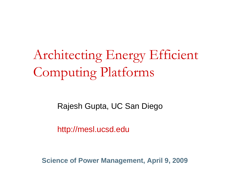Architecting Energy Efficient Computing Platforms

Rajesh Gupta, UC San Diego

http://mesl.ucsd.edu

**Science of Power Management, April 9, 2009**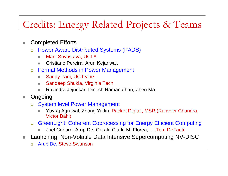# Credits: Energy Related Projects & Teams

- $\mathbb{R}^n$  Completed Efforts
	- $\Box$  Power Aware Distributed Systems (PADS)
		- Mani Srivastava, UCLA
		- $\mathcal{L}_{\mathcal{A}}$ Cristiano Pereira, Arun Kejariwal.
	- $\Box$  Formal Methods in Power Management
		- $\overline{\phantom{a}}$ Sandy Irani, UC Irvine
		- u Sandeep Shukla, Virginia Tech
		- n. Ravindra Jejurikar, Dinesh Ramanathan, Zhen Ma
- $\mathcal{L}_{\mathcal{A}}$  Ongoing
	- $\Box$  System level Power Management
		- $\overline{\phantom{a}}$  Yuvraj Agrawal, Zhong Yi Jin, Packet Digital, MSR (Ranveer Chandra, Victor Bahl)
	- $\Box$  GreenLight: Coherent Coprocessing for Energy Efficient Computing
		- П Joel Coburn, Arup De, Gerald Clark, M. Florea, ….Tom DeFanti
- Launching: Non-Volatile Data Intensive Supercomputing NV-DISC
	- $\Box$ Arup De, Steve Swanson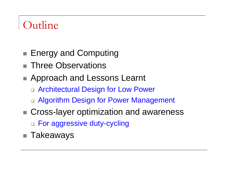# Outline

- h. ■ Energy and Computing
- Three Observations
- Approach and Lessons Learnt
	- □ Architectural Design for Low Power
	- Algorithm Design for Power Management
- Cross-layer optimization and awareness For aggressive duty-cycling
- $\blacksquare$  Takeaways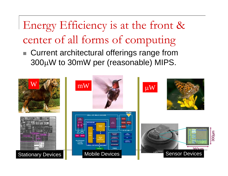Energy Efficiency is at the front & center of all forms of computing

 $\mathcal{L}_{\mathcal{A}}$  Current architectural offerings range from 300 µW to 30mW per (reasonable) MIPS.

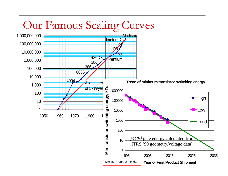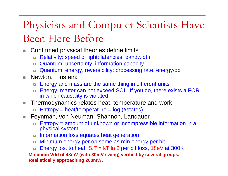# Physicists and Computer Scientists Have Been Here Before

- п Confirmed physical theories define limits
	- $\Box$ Relativity: speed of light: latencies, bandwidth
	- Quantum: uncertainty: information capacity
	- $\Box$ Quantum: energy, reversibility: processing rate, energy/op
- **College**  Newton, Einstein:
	- $\Box$ Energy and mass are the same thing in different units
	- $\Box$  Energy, matter can not exceed SOL. If you do, there exists a FOR in which causality is violated
- $\mathcal{L}_{\mathcal{A}}$  Thermodynamics relates heat, temperature and work
	- □ Entropy = heat/temperature = log (#states)
- $\overline{\phantom{a}}$  Feynman, von Neuman, Shannon, Landauer
	- $\Box$  Entropy = amount of unknown or incompressible information in a physical system
	- □ Information loss equates heat generation
	- $\Box$ Minimum energy per op same as min energy per bit
	- ❏ Energy lost to heat,  $S.T = kT \ln 2$  per bit loss, 18eV at 300K

**Minimum Vdd of 48mV (with 30mV swing) verified by several groups. Realistically approaching 200mW.**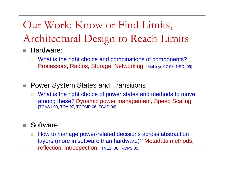# Our Work: Know or Find Limits, Architectural Design to Reach Limits

- $\mathcal{L}_{\mathcal{A}}$  Hardware:
	- $\Box$  What is the right choice and combinations of components? Processors, Radios, Storage, Networking. [Mobisys 07-08, NSDI 09]
- Power System States and Transitions
	- $\Box$  What is the right choice of power states and methods to move among these? Dynamic power management, Speed Scaling.<br>[TCAS-I 09, TOA 07, TCOMP 06, TCAD 06]

#### $\mathcal{L}_{\mathcal{A}}$ **Software**

 $\Box$  How to manage power-related decisions across abstraction layers (more in software than hardware)? Metadata methods, reflection, introspection. [TVLSI 06, IPDPS 05]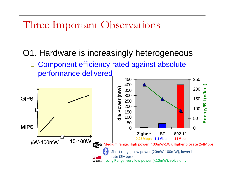Three Important Observations

O1. Hardware is increasingly heterogeneous

□ Component efficiency rated against absolute performance delivered

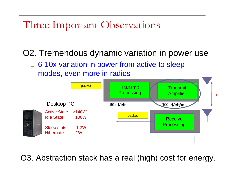# Three Important Observations

O2. Tremendous dynamic variation in power use

□ 6-10x variation in power from active to sleep modes, even more in radios



O3. Abstraction stack has a real (high) cost for energy.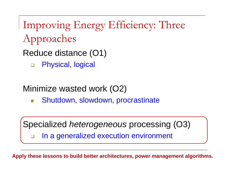Improving Energy Efficiency: Three Approaches

Reduce distance (O1)

 $\Box$ Physical, logical

## Minimize wasted work (O2)

 $\mathbb{R}^3$ Shutdown, slowdown, procrastinate

Specialized *heterogeneous* processing (O3)

 $\Box$ In a generalized execution environment

**Apply these lessons to build better architectures, power management algorithms.**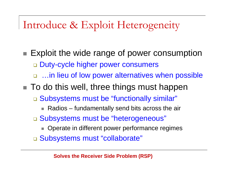# Introduce & Exploit Heterogeneity

- h. **Exploit the wide range of power consumption**  $\Box$  Duty-cycle higher power consumers □ …in lieu of low power alternatives when possible
- $\blacksquare$  To do this well, three things must happen
	- □ Subsystems must be "functionally similar"
		- п Radios – fundamentally send bits across the air
	- □ Subsystems must be "heterogeneous"
		- п Operate in different power performance regimes
	- □ Subsystems must "collaborate"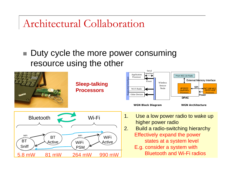Architectural Collaboration

#### $\mathcal{L}_{\mathcal{A}}$  Duty cycle the more power consuming resource using the other

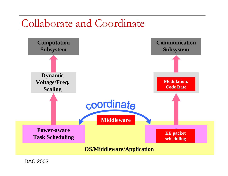# Collaborate and Coordinate



DAC 2003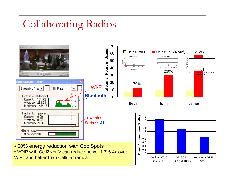# Collaborating Radios

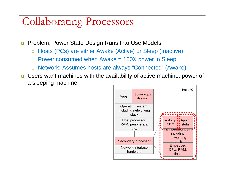# Collaborating Processors

- □ Problem: Power State Design Runs Into Use Models
	- Hosts (PCs) are either Awake (Active) or Sleep (Inactive)
	- □ Power consumed when Awake = 100X power in Sleep!
	- Network: Assumes hosts are always "Connected" (Awake)
- □ Users want machines with the availability of active machine, power of a sleeping machine.

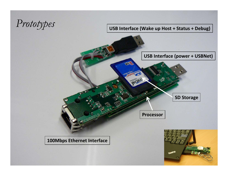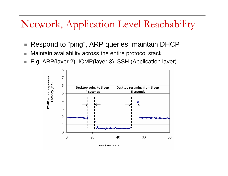# Network, Application Level Reachability

- Respond to "ping", ARP queries, maintain DHCP
- Maintain availability across the entire protocol stack
- P. E.g. ARP(layer 2), ICMP(layer 3), SSH (Application layer)

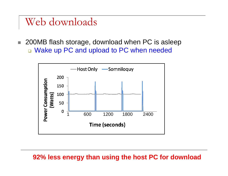## Web downloads

 200MB flash storage, download when PC is asleep □ Wake up PC and upload to PC when needed



## **92% less energy than using the host PC for download**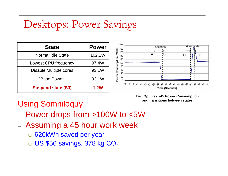# Desktops: Power Savings

| <b>State</b>              | <b>Power</b> |
|---------------------------|--------------|
| <b>Normal Idle State</b>  | 102.1W       |
| Lowest CPU frequency      | 97.4W        |
| Disable Multiple cores    | 93.1W        |
| "Base Power"              | 93.1W        |
| <b>Suspend state (S3)</b> | <b>1.2W</b>  |



**Dell Optiplex 745 Power Consumption and transitions between states** 

## Using Somniloquy:

- Power drops from >100W to <5W
- Assuming a 45 hour work week
	- $\Box$ 620kWh saved per year
	- □ US \$56 savings, 378 kg CO $_{\rm 2}$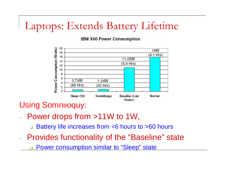# Laptops: Extends Battery Lifetime

IBM X60 Power Consumption



Using Somniloquy:

- $-$  Power drops from >11W to 1W,
	- $\Box$ Battery life increases from <6 hours to >60 hours
- $\equiv$  Provides functionality of the "Baseline" state
	- $\Box$ Power consumption similar to "Sleep" state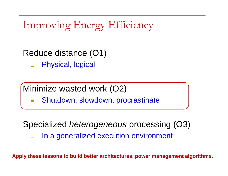Improving Energy Efficiency

Reduce distance (O1)

 $\Box$ Physical, logical

Minimize wasted work (O2)

 $\mathbb{R}^3$ Shutdown, slowdown, procrastinate

### Specialized *heterogeneous* processing (O3)  $\Box$ In a generalized execution environment

**Apply these lessons to build better architectures, power management algorithms.**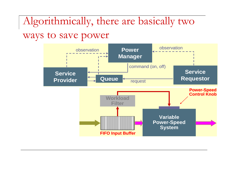# Algorithmically, there are basically two

ways to save power

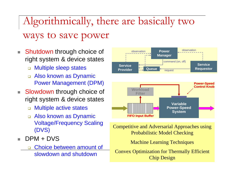Algorithmically, there are basically two ways to save power

- $\mathcal{C}^{\mathcal{A}}$  Shutdown through choice of right system & device states
	- ❏ Multiple sleep states
	- Also known as Dynamic Power Management (DPM)
- $\overline{\phantom{a}}$  Slowdown through choice of right system & device states
	- □ Multiple active states
	- Also known as Dynamic Voltage/Frequency Scaling (DVS)
- п DPM + DVS
	- □ Choice between amount of slowdown and shutdown



Competitive and Adversarial Approaches using Probabilistic Model Checking

Machine Learning Techniques

Convex Optimization for Thermally Efficient Chip Design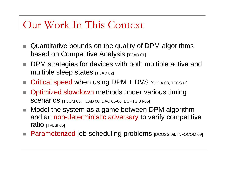# Our Work In This Context

- $\mathcal{L}_{\mathcal{A}}$  Quantitative bounds on the quality of DPM algorithms based on Competitive Analysis [TCAD 01]
- DPM strategies for devices with both multiple active and multiple sleep states  $[TCAD 02]$
- $\mathcal{L}_{\mathcal{A}}$ Critical speed when using DPM + DVS [SODA 03, TECS02]
- **The State**  Optimized slowdown methods under various timing SCENARIOS [TCOM 06, TCAD 06, DAC 05-06, ECRTS 04-05]
- $\mathcal{L}_{\mathcal{A}}$  Model the system as a game between DPM algorithm and an non-deterministic adversary to verify competitive ratio [TVLSI 05]
- **Parameterized job scheduling problems** [DCOSS 08, INFOCOM 09]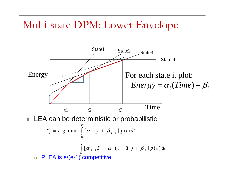# Multi-state DPM: Lower Envelope

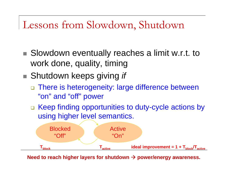# Lessons from Slowdown, Shutdown

- Slowdown eventually reaches a limit w.r.t. to work done, quality, timing
- Shutdown keeps giving *if* 
	- □ There is heterogeneity: large difference between "on" and "off" power
	- □ Keep finding opportunities to duty-cycle actions by using higher level semantics.



**Need to reach higher layers for shutdown**  Æ **power/energy awareness.**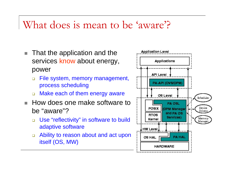# What does is mean to be 'aware'?

- $\overline{\mathbb{R}^n}$  That the application and the services know about energy, power
	- $\Box$  File system, memory management, process scheduling
	- □ Make each of them energy aware
- $\mathbf{r}$  How does one make software to be "aware"?
	- $\Box$  Use "reflectivity" in software to build adaptive software
	- $\Box$  Ability to reason about and act upon itself (OS, MW)

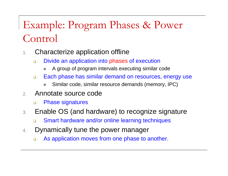# Example: Program Phases & Power Control

- 1. Characterize application offline
	- $\Box$  Divide an application into phases of execution
		- u A group of program intervals executing similar code
	- $\Box$  Each phase has similar demand on resources, energy use
		- a. Similar code, similar resource demands (memory, IPC)
- 2. Annotate source code
	- $\Box$ Phase signatures
- 3. Enable OS (and hardware) to recognize signature
	- ❏ Smart hardware and/or online learning techniques
- 4. Dynamically tune the power manager
	- $\Box$ As application moves from one phase to another.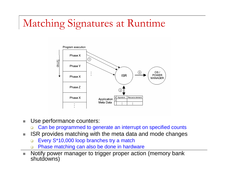# Matching Signatures at Runtime



- $\mathbb{R}^3$  Use performance counters:
	- $\Box$ Can be programmed to generate an interrupt on specified counts
- $\mathcal{L}_{\mathcal{A}}$  ISR provides matching with the meta data and mode changes
	- $\Box$ Every S\*10,000 loop branches try a match
	- $\Box$ Phase matching can also be done in hardware
- $\mathcal{L}_{\mathcal{A}}$  Notify power manager to trigger proper action (memory bank shutdowns)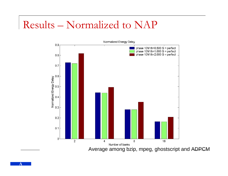# Results – Normalized to NAP



Average among bzip, mpeg, ghostscript and ADPCM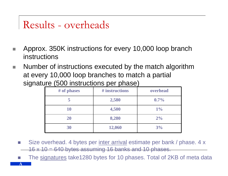# Results - overheads

- a. Approx. 350K instructions for every 10,000 loop branch instructions
- $\Box$  Number of instructions executed by the match algorithm at every 10,000 loop branches to match a partial signature (500 instructions per phase)

| # of phases | # instructions | overhead |
|-------------|----------------|----------|
| 5           | 2,580          | $0.7\%$  |
| <b>10</b>   | 4,500          | $1\%$    |
| <b>20</b>   | 8,280          | 2%       |
| 30          | 12,060         | 3%       |

- $\sim$  Size overhead. 4 bytes per inter arrival estimate per bank / phase. 4 x 16 x 10 = 640 bytes assuming 16 banks and 10 phases.
- P) The signatures take1280 bytes for 10 phases. Total of 2KB of meta data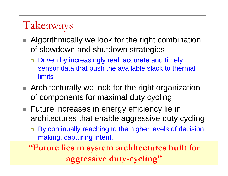# Takeaways

- **Algorithmically we look for the right combination** of slowdown and shutdown strategies
	- $\Box$  Driven by increasingly real, accurate and timely sensor data that push the available slack to thermal limits
- **Architecturally we look for the right organization** of components for maximal duty cycling
- Future increases in energy efficiency lie in architectures that enable aggressive duty cycling
	- $\Box$  By continually reaching to the higher levels of decision making, capturing intent.

**"Future lies in system architectures built for aggressive duty-cycling"**